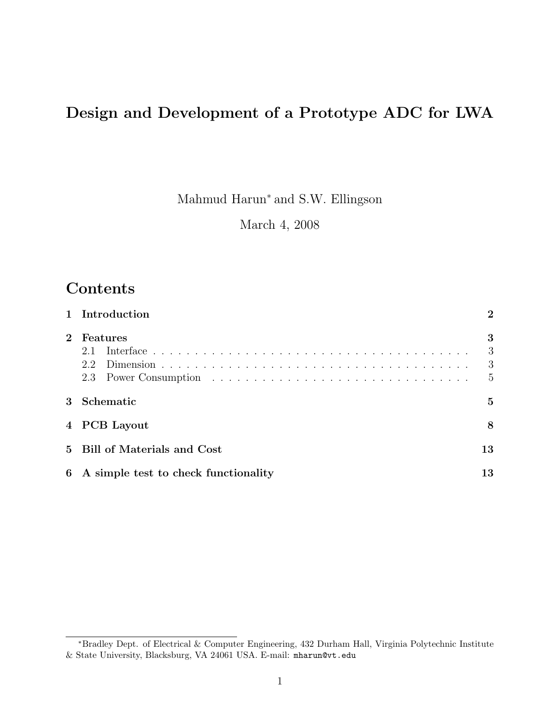# Design and Development of a Prototype ADC for LWA

Mahmud Harun<sup>∗</sup> and S.W. Ellingson

March 4, 2008

#### Contents

|             | 1 Introduction                         | $\bf{2}$                      |
|-------------|----------------------------------------|-------------------------------|
| $2^{\circ}$ | Features<br>2.1<br>2.2                 | 3<br>3<br>3<br>$\overline{5}$ |
|             | 3 Schematic                            | $\mathbf{5}$                  |
|             | 4 PCB Layout                           | 8                             |
|             | 5 Bill of Materials and Cost           | 13                            |
|             | 6 A simple test to check functionality | 13                            |

<sup>∗</sup>Bradley Dept. of Electrical & Computer Engineering, 432 Durham Hall, Virginia Polytechnic Institute & State University, Blacksburg, VA 24061 USA. E-mail: mharun@vt.edu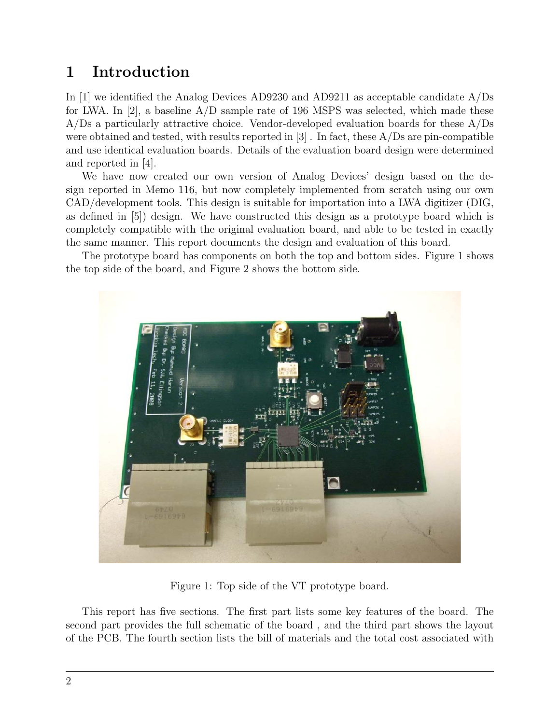### 1 Introduction

In [1] we identified the Analog Devices AD9230 and AD9211 as acceptable candidate A/Ds for LWA. In [2], a baseline  $A/D$  sample rate of 196 MSPS was selected, which made these A/Ds a particularly attractive choice. Vendor-developed evaluation boards for these A/Ds were obtained and tested, with results reported in  $[3]$ . In fact, these  $A/Ds$  are pin-compatible and use identical evaluation boards. Details of the evaluation board design were determined and reported in [4].

We have now created our own version of Analog Devices' design based on the design reported in Memo 116, but now completely implemented from scratch using our own CAD/development tools. This design is suitable for importation into a LWA digitizer (DIG, as defined in [5]) design. We have constructed this design as a prototype board which is completely compatible with the original evaluation board, and able to be tested in exactly the same manner. This report documents the design and evaluation of this board.

The prototype board has components on both the top and bottom sides. Figure 1 shows the top side of the board, and Figure 2 shows the bottom side.



Figure 1: Top side of the VT prototype board.

This report has five sections. The first part lists some key features of the board. The second part provides the full schematic of the board , and the third part shows the layout of the PCB. The fourth section lists the bill of materials and the total cost associated with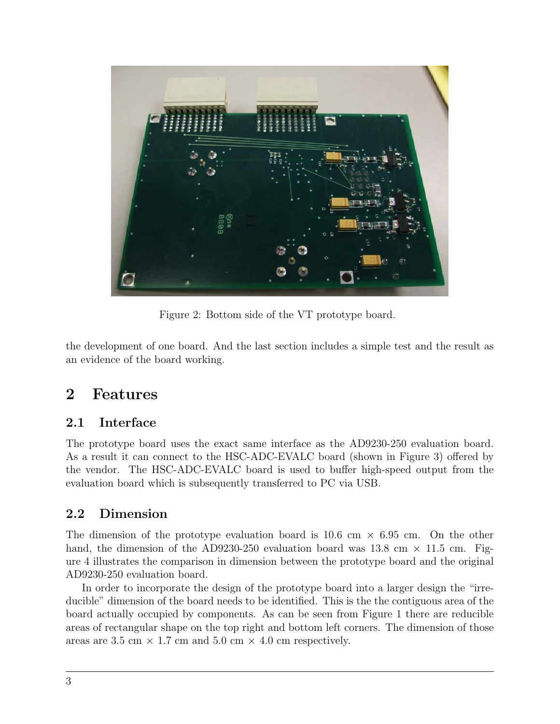

Figure 2: Bottom side of the VT prototype board.

the development of one board. And the last section includes a simple test and the result as an evidence of the board working.

### 2 Features

#### 2.1 Interface

The prototype board uses the exact same interface as the AD9230-250 evaluation board. As a result it can connect to the HSC-ADC-EVALC board (shown in Figure 3) offered by the vendor. The HSC-ADC-EVALC board is used to buffer high-speed output from the evaluation board which is subsequently transferred to PC via USB.

#### 2.2 Dimension

The dimension of the prototype evaluation board is  $10.6 \text{ cm} \times 6.95 \text{ cm}$ . On the other hand, the dimension of the AD9230-250 evaluation board was 13.8 cm  $\times$  11.5 cm. Figure 4 illustrates the comparison in dimension between the prototype board and the original AD9230-250 evaluation board.

In order to incorporate the design of the prototype board into a larger design the "irreducible" dimension of the board needs to be identified. This is the the contiguous area of the board actually occupied by components. As can be seen from Figure 1 there are reducible areas of rectangular shape on the top right and bottom left corners. The dimension of those areas are 3.5 cm  $\times$  1.7 cm and 5.0 cm  $\times$  4.0 cm respectively.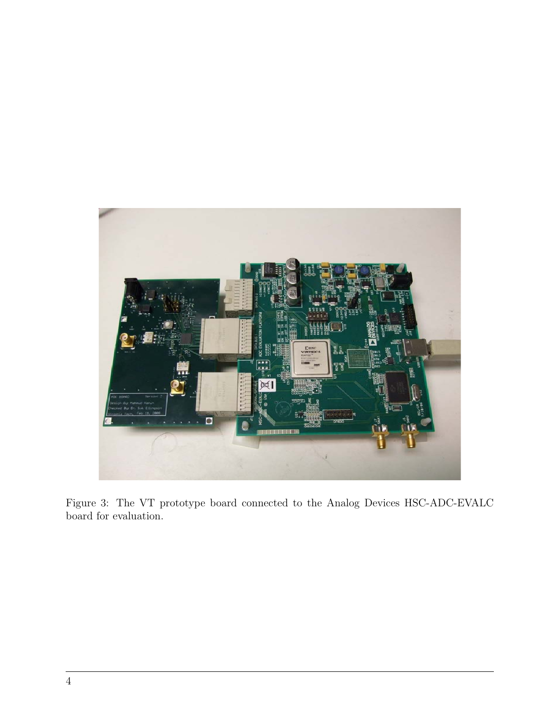

Figure 3: The VT prototype board connected to the Analog Devices HSC-ADC-EVALC board for evaluation.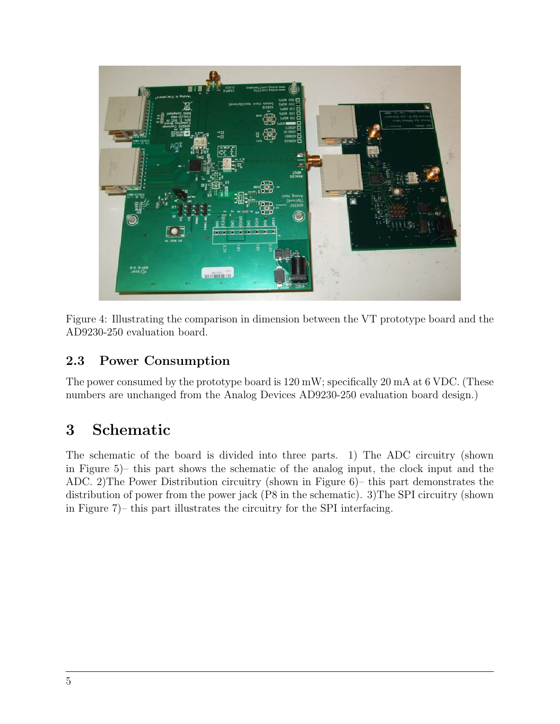

Figure 4: Illustrating the comparison in dimension between the VT prototype board and the AD9230-250 evaluation board.

#### 2.3 Power Consumption

The power consumed by the prototype board is 120 mW; specifically 20 mA at 6 VDC. (These numbers are unchanged from the Analog Devices AD9230-250 evaluation board design.)

## 3 Schematic

The schematic of the board is divided into three parts. 1) The ADC circuitry (shown in Figure 5)– this part shows the schematic of the analog input, the clock input and the ADC. 2)The Power Distribution circuitry (shown in Figure 6)– this part demonstrates the distribution of power from the power jack (P8 in the schematic). 3)The SPI circuitry (shown in Figure 7)– this part illustrates the circuitry for the SPI interfacing.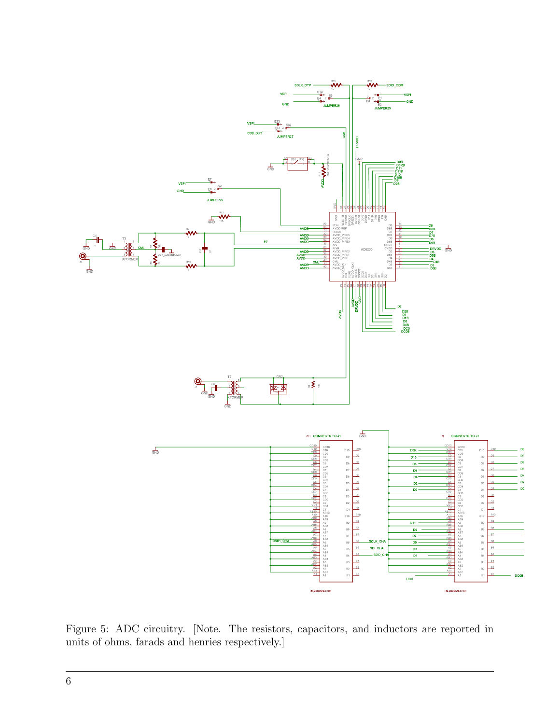

Figure 5: ADC circuitry. [Note. The resistors, capacitors, and inductors are reported in units of ohms, farads and henries respectively.]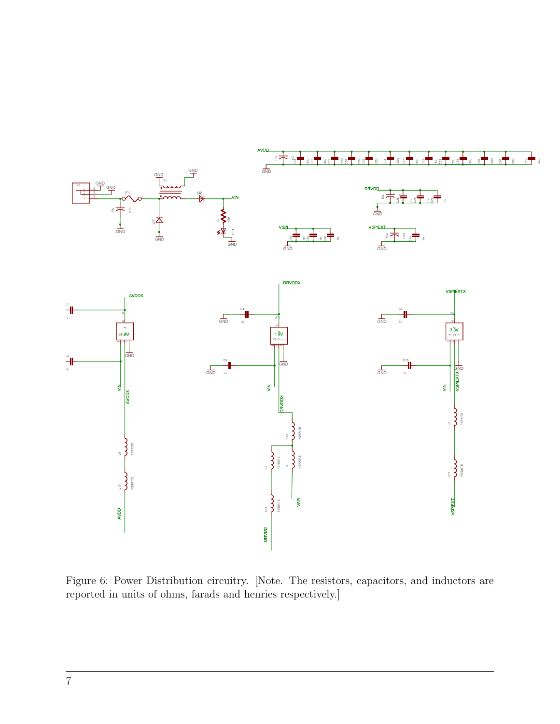

Figure 6: Power Distribution circuitry. [Note. The resistors, capacitors, and inductors are reported in units of ohms, farads and henries respectively.]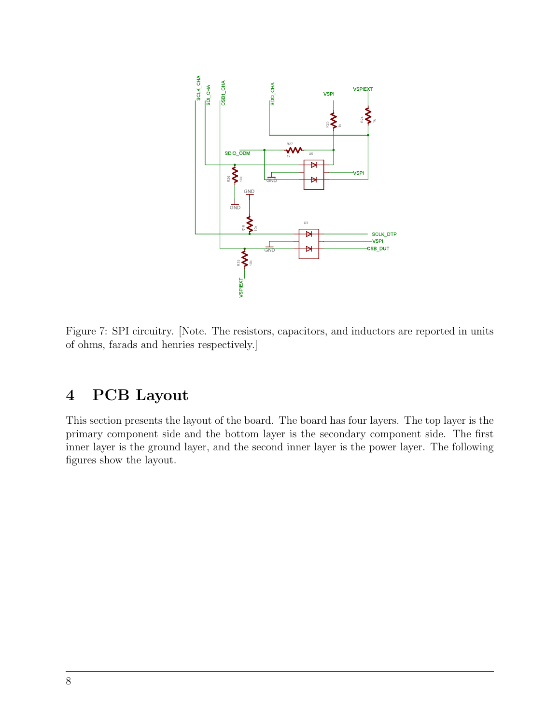

Figure 7: SPI circuitry. [Note. The resistors, capacitors, and inductors are reported in units of ohms, farads and henries respectively.]

# 4 PCB Layout

This section presents the layout of the board. The board has four layers. The top layer is the primary component side and the bottom layer is the secondary component side. The first inner layer is the ground layer, and the second inner layer is the power layer. The following figures show the layout.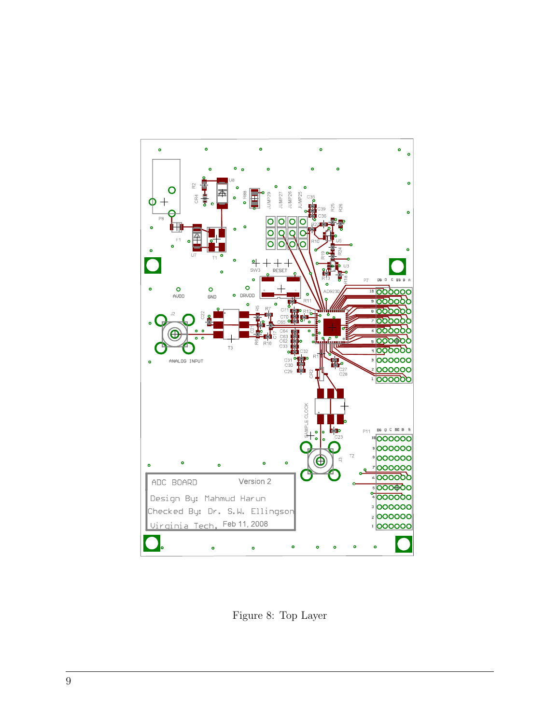

Figure 8: Top Layer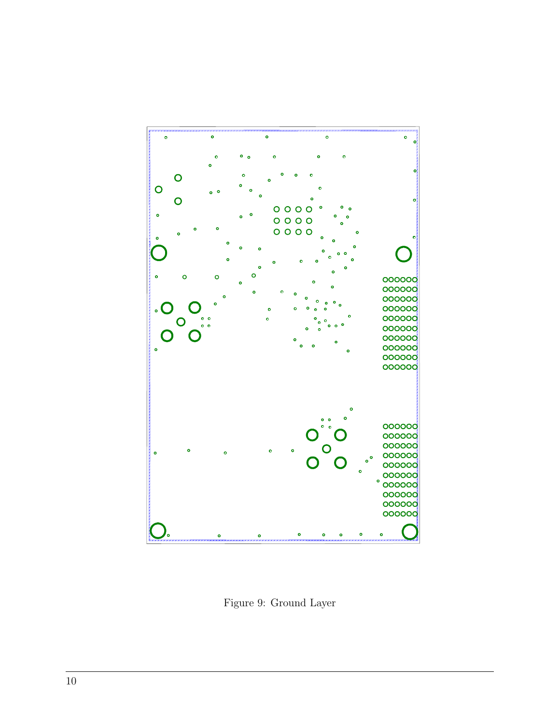

Figure 9: Ground Layer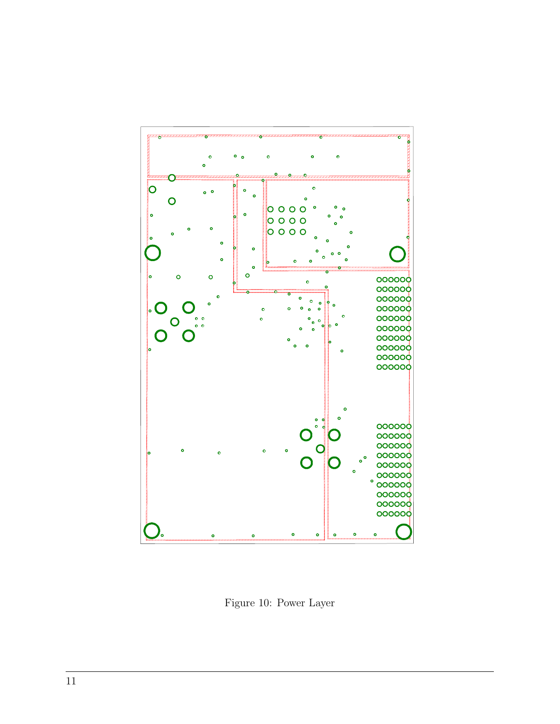

Figure 10: Power Layer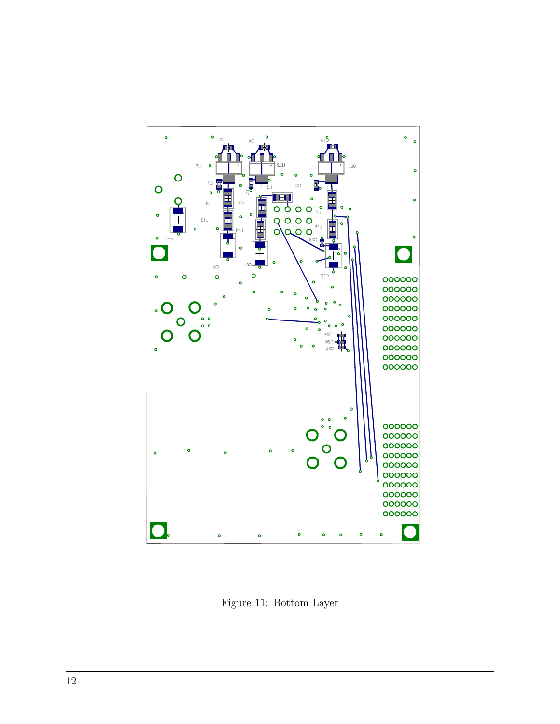

Figure 11: Bottom Layer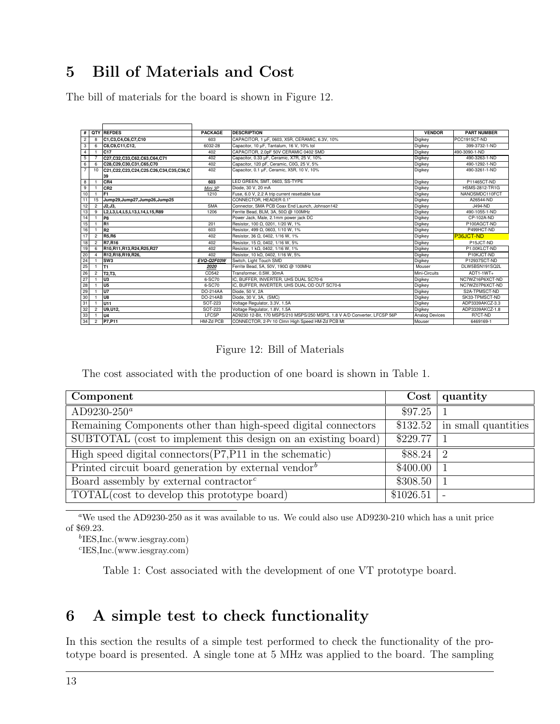# 5 Bill of Materials and Cost

The bill of materials for the board is shown in Figure 12.

| #               |                | <b>QTY REFDES</b>                           | <b>PACKAGE</b> | <b>DESCRIPTION</b>                                                        | <b>VENDOR</b>  | <b>PART NUMBER</b>    |
|-----------------|----------------|---------------------------------------------|----------------|---------------------------------------------------------------------------|----------------|-----------------------|
| $\overline{2}$  | 8              | C1,C3,C4,C6,C7,C10                          | 603            | CAPACITOR, 1 µF, 0603, X5R, CERAMIC, 6.3V, 10%                            | Digikey        | PCC1915CT-ND          |
| 3               | 6              | C8,C9,C11,C12,                              | 6032-28        | Capacitor, 10 µF, Tantalum, 16 V, 10% tol                                 | Digikey        | 399-3732-1-ND         |
| 4               |                | C <sub>17</sub>                             | 402            | CAPACITOR, 2.0pF 50V CERAMIC 0402 SMD                                     | Digikey        | 490-3090-1-ND         |
| 5 <sup>5</sup>  |                | C27,C32,C33,C62,C63,C64,C71                 | 402            | Capacitor, 0.33 µF, Ceramic, X7R, 25 V, 10%                               | Digikey        | 490-3263-1-ND         |
| 6               | 6              | C28.C29.C30.C31.C65.C70                     | 402            | Capacitor, 120 pF, Ceramic, C0G, 25 V, 5%                                 | Digikey        | 490-1292-1-ND         |
| $7^{\circ}$     | 10             | C21,C22,C23,C24,C25.C26,C34,C35,C36,C<br>39 | 402            | Capacitor, 0.1 µF, Ceramic, X5R, 10 V, 10%                                | Digikey        | 490-3261-1-ND         |
| 8               |                | CR <sub>4</sub>                             | 603            | LED GREEN, SMT, 0603, SS-TYPE                                             | Digikey        | P11465CT-ND           |
| 9               |                | CR <sub>2</sub>                             | Mini 3P        | Diode, 30 V, 20 mA                                                        | Digikey        | <b>HSMS-2812-TR1G</b> |
| 10 <sup>1</sup> |                | IF <sub>1</sub>                             | 1210           | Fuse, 6.0 V, 2.2 A trip current resettable fuse                           | Digikey        | NANOSMDC110FCT        |
| 11              | 15             | Jump29,Jump27,Jump26,Jump25                 |                | CONNECTOR, HEADER 0.1"                                                    | Digikey        | A26544-ND             |
| 12              | $\overline{c}$ | J2.J3.                                      | <b>SMA</b>     | Connector, SMA PCB Coax End Launch, Johnson142                            | Digikey        | J494-ND               |
| 13              | 9              | L2, L3, L4, L5, L13, L14, L15, R89          | 1206           | Ferrite Bead, BLM, 3A, 50Ω @ 100MHz                                       | Digikey        | 490-1055-1-ND         |
| 14              |                | IP <sub>8</sub>                             |                | Power Jack, Male, 2.1mm power jack DC                                     | Digikey        | CP-102A-ND            |
| 15              |                | R <sub>1</sub>                              | 201            | Resistor, 100 Ω, 0201, 1/20 W, 1%                                         | Digikey        | P100AGCT-ND           |
| 16              |                | R <sub>2</sub>                              | 603            | Resistor, 499 Ω, 0603, 1/10 W, 1%                                         | Digikey        | P499HCT-ND            |
| 17              | $\overline{c}$ | <b>R5,R6</b>                                | 402            | Resistor, 36 Ω, 0402, 1/16 W, 1%                                          | <b>Digikey</b> | P36JCT-ND             |
| 18              | $\overline{2}$ | R7.R16                                      | 402            | Resistor, 15 Ω, 0402, 1/16 W, 5%                                          | Digikey        | P15JCT-ND             |
| 19              | 6              | R10.R11.R13.R24.R25.R27                     | 402            | Resistor, 1 k $\Omega$ , 0402, 1/16 W, 1%                                 | Digikey        | P1.00KLCT-ND          |
| 20              | 4              | R12, R18, R19, R26,                         | 402            | Resistor, 10 kΩ, 0402, 1/16 W, 5%                                         | Digikey        | P10KJCT-ND            |
| 24              |                | SW <sub>3</sub>                             | EVQ-Q2F03W     | Switch, Light Touch SMD                                                   | Digikey        | P12937SCT-ND          |
| 25              |                | IT1                                         | 2020           | Ferrite Bead, 5A, 50V, 190Ω @ 100MHz                                      | Mouser         | DLW5BSN191SQ2L        |
| 26              | $\overline{2}$ | T <sub>2</sub> .T <sub>3</sub> .            | CD542          | Transformer, 0.5W, 30mA                                                   | Mini-Circuits  | $ADT1-1WT+$           |
| 27              |                | lU3                                         | 6-SC70         | IC, BUFFER, INVERTER, UHS DUAL SC70-6                                     | Digikey        | NC7WZ16P6XCT-ND       |
| 28              |                | lU <sub>5</sub>                             | 6-SC70         | IC. BUFFER, INVERTER, UHS DUAL OD OUT SC70-6                              | Digikey        | NC7WZ07P6XCT-ND       |
| 29              |                | TU7                                         | DO-214AA       | Diode, 50 V, 2A                                                           | Digikey        | S2A-TPMSCT-ND         |
| 30              |                | lU8                                         | DO-214AB       | Diode, 30 V, 3A, (SMC)                                                    | Digikey        | SK33-TPMSCT-ND        |
| 31              |                | <b>U11</b>                                  | SOT-223        | Voltage Regulator, 3.3V, 1.5A                                             | Digikey        | ADP3339AKCZ-3.3       |
| 32              | $\overline{c}$ | U9.U12.                                     | SOT-223        | Voltage Regulator, 1.8V, 1.5A                                             | Digikey        | ADP3339AKCZ-1.8       |
| 33              |                | U <sub>4</sub>                              | LECSP          | AD9230 12-Bit, 170 MSPS/210 MSPS/250 MSPS, 1.8 V A/D Converter, LFCSP 56P | Analog Devices | R7CT-ND               |
| 34              |                | 2 P7, P11                                   | HM-Zd PCB      | CONNECTOR, 2-Pr 10 Clmn High Speed HM-Zd PCB Mt                           | Mouser         | 6469169-1             |

Figure 12: Bill of Materials

The cost associated with the production of one board is shown in Table 1.

| Component                                                        |              | $\rm Cost$<br>quantity          |
|------------------------------------------------------------------|--------------|---------------------------------|
| AD9230-250 <sup>a</sup>                                          | \$97.25      |                                 |
| Remaining Components other than high-speed digital connectors    |              | $$132.52$   in small quantities |
| SUBTOTAL (cost to implement this design on an existing board)    | \$229.77     |                                 |
| High speed digital connectors $(P7, P11)$ in the schematic)      | $$88.24$   2 |                                 |
| Printed circuit board generation by external vendor <sup>b</sup> | \$400.00     |                                 |
| Board assembly by external contractor <sup><math>c</math></sup>  | \$308.50     |                                 |
| TOTAL(cost to develop this prototype board)                      | \$1026.51    |                                 |

<sup>a</sup>We used the AD9230-250 as it was available to us. We could also use AD9230-210 which has a unit price of \$69.23.

b IES,Inc.(www.iesgray.com)

c IES,Inc.(www.iesgray.com)

Table 1: Cost associated with the development of one VT prototype board.

### 6 A simple test to check functionality

In this section the results of a simple test performed to check the functionality of the prototype board is presented. A single tone at 5 MHz was applied to the board. The sampling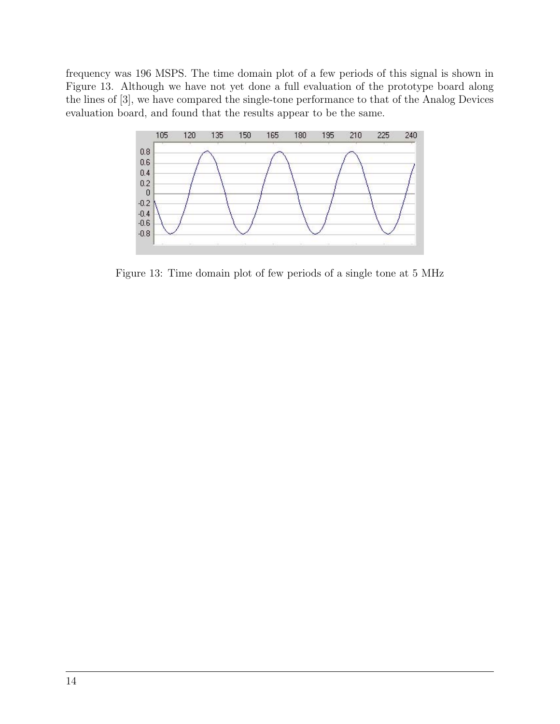frequency was 196 MSPS. The time domain plot of a few periods of this signal is shown in Figure 13. Although we have not yet done a full evaluation of the prototype board along the lines of [3], we have compared the single-tone performance to that of the Analog Devices evaluation board, and found that the results appear to be the same.



Figure 13: Time domain plot of few periods of a single tone at 5 MHz